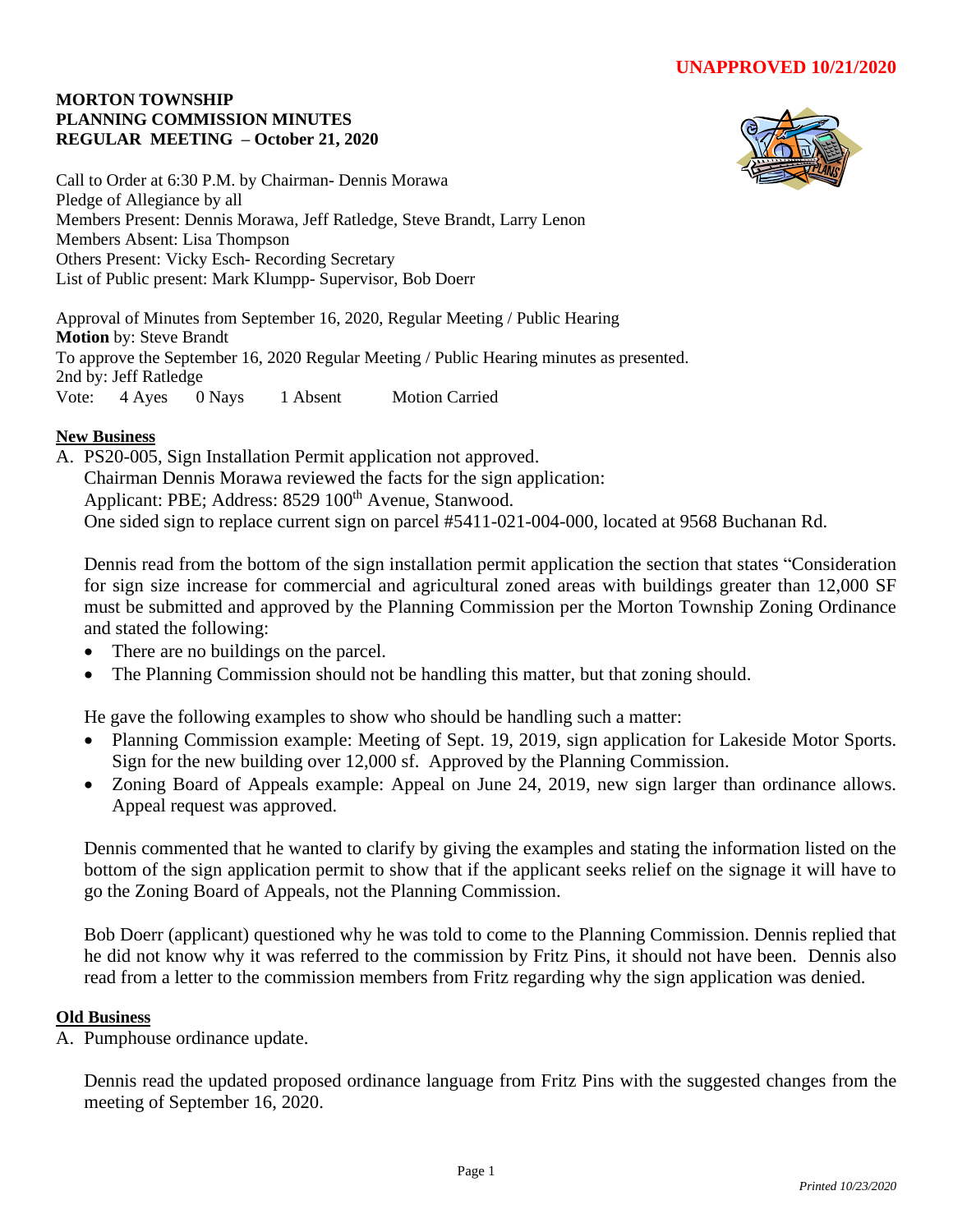## **MORTON TOWNSHIP PLANNING COMMISSION MINUTES REGULAR MEETING – October 21, 2020**



Call to Order at 6:30 P.M. by Chairman- Dennis Morawa Pledge of Allegiance by all Members Present: Dennis Morawa, Jeff Ratledge, Steve Brandt, Larry Lenon Members Absent: Lisa Thompson Others Present: Vicky Esch- Recording Secretary List of Public present: Mark Klumpp- Supervisor, Bob Doerr

Approval of Minutes from September 16, 2020, Regular Meeting / Public Hearing **Motion** by: Steve Brandt To approve the September 16, 2020 Regular Meeting / Public Hearing minutes as presented. 2nd by: Jeff Ratledge Vote: 4 Ayes 0 Nays 1 Absent Motion Carried

## **New Business**

A. PS20-005, Sign Installation Permit application not approved. Chairman Dennis Morawa reviewed the facts for the sign application: Applicant: PBE; Address: 8529 100<sup>th</sup> Avenue, Stanwood. One sided sign to replace current sign on parcel #5411-021-004-000, located at 9568 Buchanan Rd.

Dennis read from the bottom of the sign installation permit application the section that states "Consideration for sign size increase for commercial and agricultural zoned areas with buildings greater than 12,000 SF must be submitted and approved by the Planning Commission per the Morton Township Zoning Ordinance and stated the following:

- There are no buildings on the parcel.
- The Planning Commission should not be handling this matter, but that zoning should.

He gave the following examples to show who should be handling such a matter:

- Planning Commission example: Meeting of Sept. 19, 2019, sign application for Lakeside Motor Sports. Sign for the new building over 12,000 sf. Approved by the Planning Commission.
- Zoning Board of Appeals example: Appeal on June 24, 2019, new sign larger than ordinance allows. Appeal request was approved.

Dennis commented that he wanted to clarify by giving the examples and stating the information listed on the bottom of the sign application permit to show that if the applicant seeks relief on the signage it will have to go the Zoning Board of Appeals, not the Planning Commission.

Bob Doerr (applicant) questioned why he was told to come to the Planning Commission. Dennis replied that he did not know why it was referred to the commission by Fritz Pins, it should not have been. Dennis also read from a letter to the commission members from Fritz regarding why the sign application was denied.

## **Old Business**

A. Pumphouse ordinance update.

Dennis read the updated proposed ordinance language from Fritz Pins with the suggested changes from the meeting of September 16, 2020.